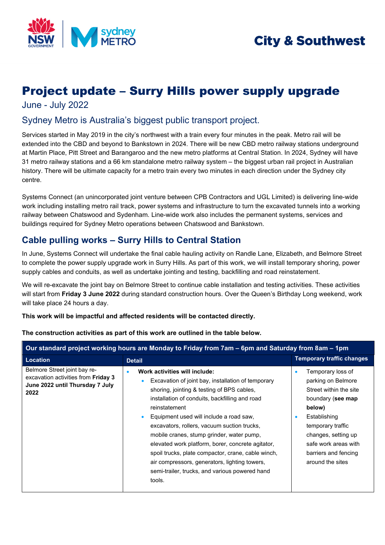

# **City & Southwest**

# Project update – Surry Hills power supply upgrade

June - July 2022

## Sydney Metro is Australia's biggest public transport project.

Services started in May 2019 in the city's northwest with a train every four minutes in the peak. Metro rail will be extended into the CBD and beyond to Bankstown in 2024. There will be new CBD metro railway stations underground at Martin Place, Pitt Street and Barangaroo and the new metro platforms at Central Station. In 2024, Sydney will have 31 metro railway stations and a 66 km standalone metro railway system – the biggest urban rail project in Australian history. There will be ultimate capacity for a metro train every two minutes in each direction under the Sydney city centre.

Systems Connect (an unincorporated joint venture between CPB Contractors and UGL Limited) is delivering line-wide work including installing metro rail track, power systems and infrastructure to turn the excavated tunnels into a working railway between Chatswood and Sydenham. Line-wide work also includes the permanent systems, services and buildings required for Sydney Metro operations between Chatswood and Bankstown.

# **Cable pulling works – Surry Hills to Central Station**

In June, Systems Connect will undertake the final cable hauling activity on Randle Lane, Elizabeth, and Belmore Street to complete the power supply upgrade work in Surry Hills. As part of this work, we will install temporary shoring, power supply cables and conduits, as well as undertake jointing and testing, backfilling and road reinstatement.

We will re-excavate the joint bay on Belmore Street to continue cable installation and testing activities. These activities will start from **Friday 3 June 2022** during standard construction hours. Over the Queen's Birthday Long weekend, work will take place 24 hours a day.

**This work will be impactful and affected residents will be contacted directly.** 

| Our standard project working hours are Monday to Friday from 7am – 6pm and Saturday from 8am – 1pm                    |                                                                                                                                                                                                                                                                                                                                                                                                                                                                                                                                                                                                            |                                                                                                                                                                                                                                               |  |
|-----------------------------------------------------------------------------------------------------------------------|------------------------------------------------------------------------------------------------------------------------------------------------------------------------------------------------------------------------------------------------------------------------------------------------------------------------------------------------------------------------------------------------------------------------------------------------------------------------------------------------------------------------------------------------------------------------------------------------------------|-----------------------------------------------------------------------------------------------------------------------------------------------------------------------------------------------------------------------------------------------|--|
| Location                                                                                                              | <b>Detail</b>                                                                                                                                                                                                                                                                                                                                                                                                                                                                                                                                                                                              | <b>Temporary traffic changes</b>                                                                                                                                                                                                              |  |
| Belmore Street joint bay re-<br>excavation activities from <b>Friday 3</b><br>June 2022 until Thursday 7 July<br>2022 | Work activities will include:<br>$\bullet$<br>Excavation of joint bay, installation of temporary<br>$\bullet$<br>shoring, jointing & testing of BPS cables,<br>installation of conduits, backfilling and road<br>reinstatement<br>Equipment used will include a road saw,<br>$\bullet$<br>excavators, rollers, vacuum suction trucks,<br>mobile cranes, stump grinder, water pump,<br>elevated work platform, borer, concrete agitator,<br>spoil trucks, plate compactor, crane, cable winch,<br>air compressors, generators, lighting towers,<br>semi-trailer, trucks, and various powered hand<br>tools. | Temporary loss of<br>parking on Belmore<br>Street within the site<br>boundary (see map<br>below)<br>Establishing<br>$\bullet$<br>temporary traffic<br>changes, setting up<br>safe work areas with<br>barriers and fencing<br>around the sites |  |

#### **The construction activities as part of this work are outlined in the table below.**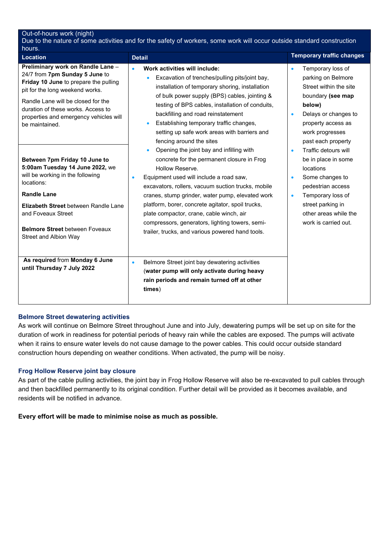| Out-of-hours work (night)<br>Due to the nature of some activities and for the safety of workers, some work will occur outside standard construction<br>hours.                                                                                                                                                                                                                                                                                                               |                                                                                                                                                                                                                                                                                                                                                                                                                                                                                                                                                                                                                                                                                                                                                                    |                                                                                                                                                                                                                                                                                                                                                                                                        |  |
|-----------------------------------------------------------------------------------------------------------------------------------------------------------------------------------------------------------------------------------------------------------------------------------------------------------------------------------------------------------------------------------------------------------------------------------------------------------------------------|--------------------------------------------------------------------------------------------------------------------------------------------------------------------------------------------------------------------------------------------------------------------------------------------------------------------------------------------------------------------------------------------------------------------------------------------------------------------------------------------------------------------------------------------------------------------------------------------------------------------------------------------------------------------------------------------------------------------------------------------------------------------|--------------------------------------------------------------------------------------------------------------------------------------------------------------------------------------------------------------------------------------------------------------------------------------------------------------------------------------------------------------------------------------------------------|--|
| <b>Location</b>                                                                                                                                                                                                                                                                                                                                                                                                                                                             | <b>Detail</b>                                                                                                                                                                                                                                                                                                                                                                                                                                                                                                                                                                                                                                                                                                                                                      | <b>Temporary traffic changes</b>                                                                                                                                                                                                                                                                                                                                                                       |  |
| Preliminary work on Randle Lane -<br>24/7 from 7pm Sunday 5 June to<br>Friday 10 June to prepare the pulling<br>pit for the long weekend works.<br>Randle Lane will be closed for the<br>duration of these works. Access to<br>properties and emergency vehicles will<br>be maintained.<br>Between 7pm Friday 10 June to<br>5:00am Tuesday 14 June 2022, we<br>will be working in the following<br>locations:<br><b>Randle Lane</b><br>Elizabeth Street between Randle Lane | Work activities will include:<br>$\bullet$<br>Excavation of trenches/pulling pits/joint bay,<br>installation of temporary shoring, installation<br>of bulk power supply (BPS) cables, jointing &<br>testing of BPS cables, installation of conduits,<br>backfilling and road reinstatement<br>Establishing temporary traffic changes,<br>setting up safe work areas with barriers and<br>fencing around the sites<br>Opening the joint bay and infilling with<br>$\bullet$<br>concrete for the permanent closure in Frog<br>Hollow Reserve.<br>Equipment used will include a road saw,<br>$\bullet$<br>excavators, rollers, vacuum suction trucks, mobile<br>cranes, stump grinder, water pump, elevated work<br>platform, borer, concrete agitator, spoil trucks, | Temporary loss of<br>$\bullet$<br>parking on Belmore<br>Street within the site<br>boundary (see map<br>below)<br>Delays or changes to<br>$\bullet$<br>property access as<br>work progresses<br>past each property<br>Traffic detours will<br>$\bullet$<br>be in place in some<br>locations<br>Some changes to<br>$\bullet$<br>pedestrian access<br>Temporary loss of<br>$\bullet$<br>street parking in |  |
| and Foveaux Street<br><b>Belmore Street between Foveaux</b><br>Street and Albion Way                                                                                                                                                                                                                                                                                                                                                                                        | plate compactor, crane, cable winch, air<br>compressors, generators, lighting towers, semi-<br>trailer, trucks, and various powered hand tools.                                                                                                                                                                                                                                                                                                                                                                                                                                                                                                                                                                                                                    | other areas while the<br>work is carried out.                                                                                                                                                                                                                                                                                                                                                          |  |
| As required from Monday 6 June<br>until Thursday 7 July 2022                                                                                                                                                                                                                                                                                                                                                                                                                | Belmore Street joint bay dewatering activities<br>$\bullet$<br>(water pump will only activate during heavy<br>rain periods and remain turned off at other<br>times)                                                                                                                                                                                                                                                                                                                                                                                                                                                                                                                                                                                                |                                                                                                                                                                                                                                                                                                                                                                                                        |  |

#### **Belmore Street dewatering activities**

As work will continue on Belmore Street throughout June and into July, dewatering pumps will be set up on site for the duration of work in readiness for potential periods of heavy rain while the cables are exposed. The pumps will activate when it rains to ensure water levels do not cause damage to the power cables. This could occur outside standard construction hours depending on weather conditions. When activated, the pump will be noisy.

#### **Frog Hollow Reserve joint bay closure**

As part of the cable pulling activities, the joint bay in Frog Hollow Reserve will also be re-excavated to pull cables through and then backfilled permanently to its original condition. Further detail will be provided as it becomes available, and residents will be notified in advance.

**Every effort will be made to minimise noise as much as possible.**